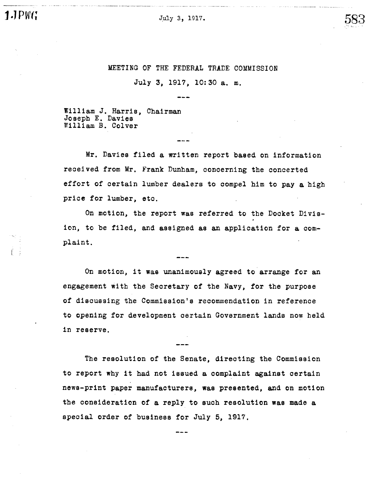

#### MEETING OF THE FEDERAL TRADE COMMISSION

July 3, 1917, 10:30 a. m.

William J. Harris, Chairman Joseph E. Davies William B. Colver

Mr. Davies filed a written report based on information received from Mr. Frank Dunham, concerning the concerted effort of certain lumber dealers to compel him to pay a high price for lumber, etc.

On motion, the report was referred to the Docket Division, to be filed, and assigned as an application for a complaint.

On motion, it was unanimously agreed to arrange for an engagement with the Secretary of the Navy, for the purpose of discussing the Commission's recommendation in reference to opening for development certain Government lands now held in reserve.

The resolution of the Senate, directing the Commission to report why it had not issued a complaint against certain news-print paper manufacturers, was presented, and on motion the consideration of a reply to such resolution was made a special order of business for July 5, 1917.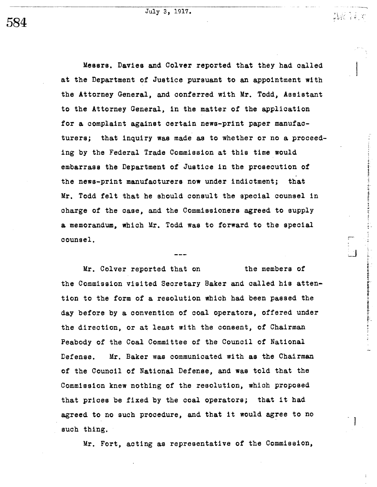July 3, 1917.

.1.-

1 -

. J

Messrs. Davies and Colver reported that they had called at the Department of Justice pursuant to an appointment with the Attorney General, and conferred with Mr. Todd, Assistant to the Attorney General, in the matter of the application for a complaint against certain news-print paper manufacturers; that inquiry was made as to whether or no a proceeding by the Federal Trade Commission at this time would embarrass the Department of Justice in the prosecution of the news-print manufacturers now under indictment; that Mr. Todd felt that he should consult the special counsel in charge of the case, and the Commissioners agreed to supply a memorandum, which Mr. Todd was to forward to the special counsel.

Mr. Colver reported that on the members of the Commission visited Secretary Baker and called his attention to the form of a resolution which had been passed the day before by a convention of coal operators, offered under the direction, or at least with the consent, of Chairman Peabody of the Coal Committee of the Council of National Defense. Mr. Baker was communicated with as the Chairman of the Council of National Defense, and was told that the Commission knew nothing of the resolution, which proposed that prioes be fixed by the coal operators; that it had agreed to no such procedure, and that it would agree to no such thing.

Mr. Fort, acting as representative of the Commission,

584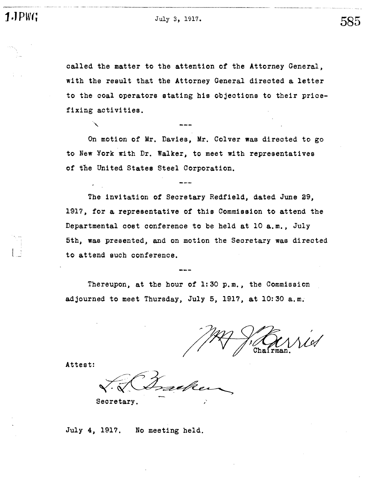u- - ..u\_.\_--..

 $PWT_1$   $July 3, 1917.$   $585$ 

called the matter to the attention of the Attorney General, with the result that the Attorney General directed a letter to the coal operators stating his objections to their pricefixing activi ties.

On motion of Mr. Davies, Mr. Colver was directed to go to New York with Dr. Walker, to meet with representatives of the United States Steel Corporation.

The invitation of Secretary Redfield, dated June 29, 1917, for a representative of this Commission to attend the Departmental cost conference to be held at 10 a. m., July 5th, was presented, and on motion the Secretary was directed to attend such conference.

Thereupon, at the hour of  $1:30$  p.m., the Commission adjourned to meet Thursday, July 5, 1917, at 10:30 a.m.

Chairman

Attest:

Secretary.

July 4, 1917. No meeting held.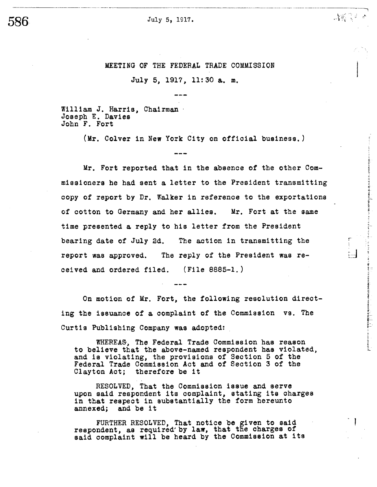July 5, 1917.

MEETING OF THE FEDERAL TRADE COMMISSION

 $\mathcal{M} \subset \mathcal{M}$ 

うまます ときさげる じか ブライド エンチス きつき おおとこ ありり

 $\frac{1}{12}$  . The contrast of the state of the contrast of the state of the contrast of the contrast of the state of the state of the state of the state of the state of the state of the state of the state of the state of t

 $\left| \cdot \right|$ 

- J

July 5, 1917, 11:30 a. m.

William J. Harris, Chairman Joseph E. Davies John F. Fort

(Mr. Colver in New York City on official business.

Mr. Fort reported that in the absence of the other Commissioners he had sent a letter to the President transmitting copy of report by Dr. Walker in reference to the exportations of cotton to Germany and her allies. Mr. Fort at the same time presented a reply to his letter from the President bearing date of July 2d. The aotion in transmitting the report was approved. The reply of the President was received and ordered filed. (File 8885-1.)

On motion of Mr. Fort, the following resolution directing the issuance of a complaint of the Commission vs. The Curtis Publishing Company was adopted:

WHEREA&, The Federal Trade COMmission has reason to believe that the above-named respondent has violated and is violating, the provisions of Section 5 of the Federal Trade Commission Act and of Section 3 of the Clayton Aot; therefore be it

RESOLVED, That the Commission issue and serve upon said respondent its complaint, stating its charges in that respect in substantially the form hereunto annexed; and be it

FURTHER RESOLVED, That notice be given to said respondent, as required' by law, that the charges of said complaint will be heard by the Commission at its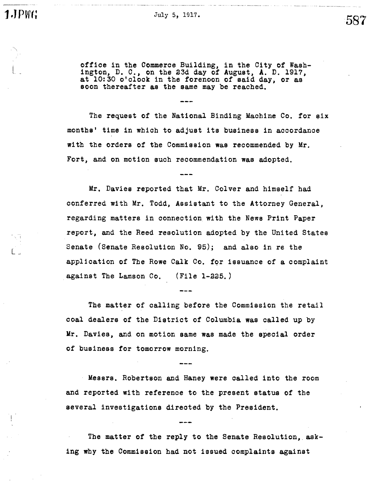L -

office in the Commerce Building, in the City of Wash-<br>ington, D. C., on the 23d day of August, A. D. 1917, at 10:30 o'clock in the forenoon of said day, or as soon thereafter as the same may be reached.

The request of the National Binding Machine Co. for six months' time in which to adjust its business in accordance with the orders of the Commission was recommended by Mr. Fort, and on motion such recommendation was adopted.

Mr. Davies reported that Mr. Colver and himself had conferred with Mr. Todd, Assistant to the Attorney General. regarding matters in connection with the News Print Paper report, and the Reed resolution adopted by the United States Senate (Senate Resolution No. 95); and also in re the application of The Rowe Calk Co. for issuance of a complaint against The Lamson Co. (File 1-225.

The matter of calling before the Commission the retail coal dealers of the District of Columbia was called up by Mr. Davies, and on motion same was made the special order of business for tomorrow morning.

Messrs. Robertson and Haney were called into the room and reported with reference to the present status of the several investigations directed by the President.

The matter of the reply to the Senate Resolution asking why the Commission had not issued complaints against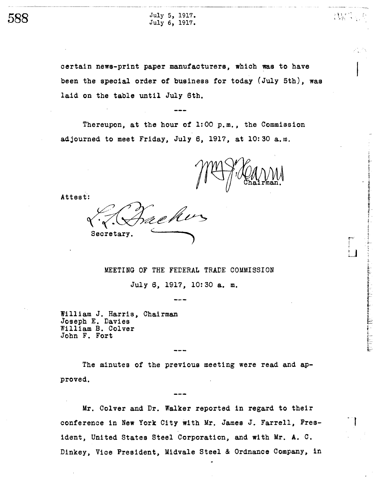

 $588$  July 5, 1917.

certain news-print paper manufacturers, which was to have been the special order of business for today (July 5th), was laid on the table until July 6th.

Thereupon, at the hour of  $1:00$  p.m., the Commission adjourned to meet Friday, July 6, 1917, at 10:30 a.m.

If-'

i,.

- J

Attest:

Secretary.

MEETING OF THE FEDERAL TRADE COMMISSION

July 6, 1917, 10:30 a. m.

William J. Harris, Chairman Joseph E. Davies William B. Colver John F. Fort

The minutes of the previous meeting were read and approved.

Mr. Colver and Dr. Walker reported in regard to their conference in New York City with Mr. James J. Farrell, President, United States Steel Corporation, and with Mr. A. C. Dinkey, Vice President, Midvale Steel & Ordnance Company, in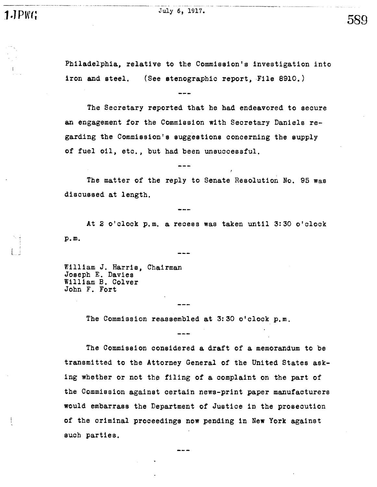$\text{1.} \text{PWT}$ 

Philadelphia, relative to the Commission's investigation into iron and steel. (See stenographic report, File 8910.)

589

The Secretary reported that he had endeavored to secure an engagement for the Commission with Secretary Daniels regarding the Commission's suggestions concerning the supply of fuel oil, etc., but had been unsuccessful.

The matter of the reply to Senate Resolution No. 95 was discussed at length.

At 2 o'clock p.m. a recess was taken until 3:30 o'clock p. m.

William J. Harris, Chairman Joseph E. Davies William B. Colver John F. Fort

The Commission reassembled at 3:30 o'clock p.m.

The Commission considered a draft of a memorandum to be transmi tted to the Attorney General of the United States asking whether or not the filing of a complaint on the part of the Commission against certain news-print paper manufacturers would embarrass the Department of Justice in the prosecution of the criminal proceedings now pending in New York against such parties.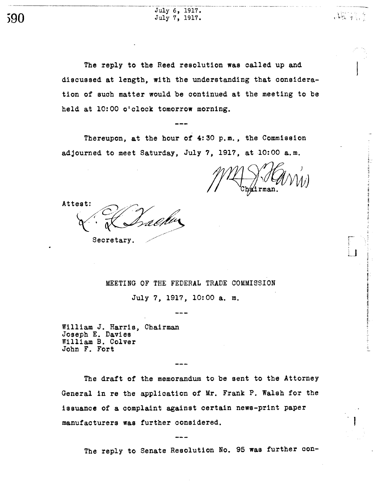July 6, 1917. July 7, 1917.

The reply to the Reed resolution was called up and discussed at length, with the understanding that consideration of such matter would be continued at the meeting to be held at 10:00 o'clock tomorrow morning.

Thereupon, at the hour of  $4:30$  p.m., the Commission adjourned to meet Saturday, July 7, 1917, at 10:00 a.m.

- \_,no

r i:

Attest:

Secretary.

MEETING OF THE FEDERAL TRADE COMMISSION

July 7, 1917, 10:00 a. m.

William J. Harris, Chairman Joseph E. Davies William B. Colver John F. Fort

The draft of the memorandum to be sent to the Attorney General in re the application of Mr. Frank P. Walsh for the issuance of a complaint against certain news-print paper manufacturers was further considered.

The reply to Senate Resolution No. 95 was further con-

590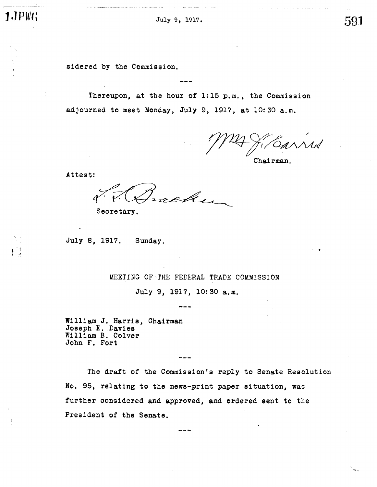l ,-

u\_-

July 9, 1917.

591

sidered by the Commission.

Thereupon, at the hour of 1:15 p.m., the Commission adjourned to meet Monday, July 9, 1917, at 10:30 a.m.

Chairman.

Attest:

che

Secretary.

July 8, 1917. Sunday.

## MEETING OF -THE FEDERAL TRADE COMMISSION

July 9, 1917, 10:30 a.m.

William J. Harris Joseph E. Davies William B. Colver John F. Fort **Chairman** 

The draft of the Commission's reply to Senate Resolution No. 95, relating to the news-print paper situation, was further considered and approved, and ordered sent to the President of the Senate.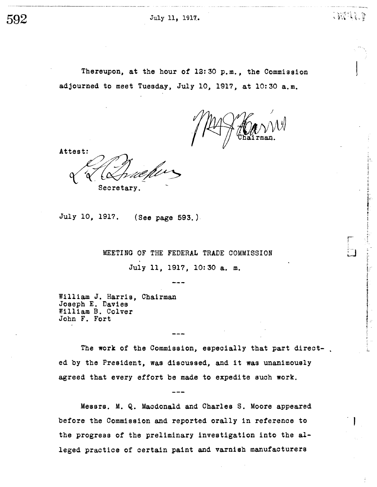Thereupon, at the hour of 12:30 p.m., the Commission adjourned to meet Tuesday, July 10, 1917, at 10:30 a.m.

Attest: Secretary.

July 10, 1917. (See page 593.).

MEETING OF THE FEDERAL TRADE COMMISSION

July 11, 1917, 10:30 a. m.

William J. Harris, Chairman Joseph E. Davies William B. Colver John F. Fort

The work of the Commission, especially that part directed by the President, was discussed, and it was unanimously agreed that every effort be made to expedite such work.

Messrs. M. Q. Macdonald and Charles S. Moore appeared before the Commission and reported orally in reference to the progress of the preliminary investigation into the alleged practice of certain paint and varnish manufacturers

**CONTRACT** 

. t

 $\sim$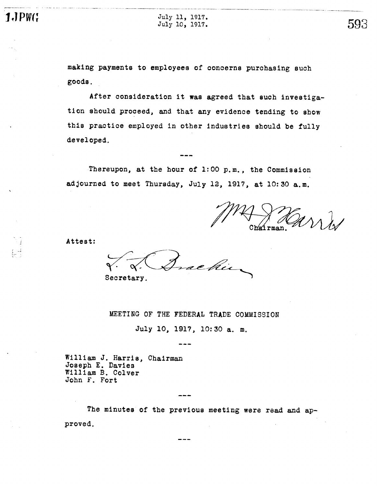\_,.n\_..- -..

 $\text{J}.\text{JPWG}$   $_{\text{July 11, 1917.}}$  $July 10, 1917.$   $593$ 

\_n - n\_.\_\_\_-

\_\_.n -

making payments to employees of concerns purchasing such goods.

After consideration it was agreed that such investigation should proceed, and that any evidence tending to show this practice employed in other industries should be fully developed.

Thereupon, at the hour of  $1:00$  p.m., the Commission adjourned to meet Thursday, July 12, 1917, at 10:30 a.m.

- --\_..n\_

Attest:

re hii Secretary.

#### MEETING OF THE FEDERAL TRADE COMMISSION

July 10, 1917, 10: 30 a. m.

William J. Harris, Chairman Joseph E. Davies William B. Colver John F. Fort

The minutes of the previous meeting were read and approved.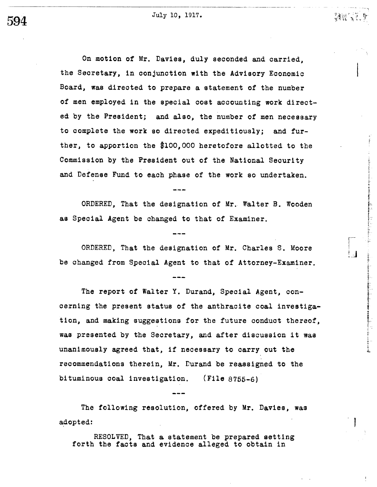$594$  July 10, 1917.

---\_.\_- \_\_n- -

Vi

;i..

- J

On motion of Mr. Davies, duly seconded and carried. the Secretary, in conjunction with the Advisory Economic Board, was directed to prepare a statement of the number of men employed in the special cost accounting work directed by the President; and also, the number of men necessary to complete the work so directed expeditiously; and further, to apportion the \$100,000 heretofore allotted to the Commission by the President out of the National Security and Defense Fund to each phase of the work so undertaken.

ORDERED, That the designation of Mr. Walter B. Wooden as Special Agent be changed to that of Examiner.

ORDERED, That the designation of Mr. Charles S. Moore be ohanged from Special Agent to that of Attorney-Examiner.

The report of Walter Y. Durand, Special Agent, concerning the present status of the anthracite coal investigation, and making suggestions for the future conduct thereof, was presented by the Secretary, and after discussion it was unanimously agreed that, if necessary to carry out the recommendations therein, Mr. Durand be reassigned to the bi tuminous coal investigation. (File 8755-6)

The following resolution, offered by Mr. Davies, was adopted:

RESOLVED, That a statement be prepared setting forth the facts and evidence alleged to obtain in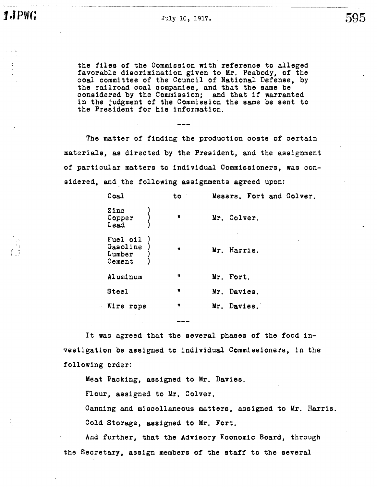$J_{\text{uly 10, 1917.}}$  595

the files of the Commission with reference to alleged favorable discrimination given to Mr. Peabody, of the coal committee of the Council of National Defense, by the railroad coal companies, and that the same be considered by the Commission; and that if warranted in the judgment of the Commission the same be sent to the President for his information.

The matter of finding the production costs of certain materials, as directed by the President, and the assignment of particular matters to individual Commissioners, was considered, and the following assignments agreed upon:

|    | Coal                                     |  | to           | Messrs. Fort and Colver. |             |  |  |  |
|----|------------------------------------------|--|--------------|--------------------------|-------------|--|--|--|
|    | Zinc<br>Copper<br>$\mathtt{lead}$        |  | $\mathbf{u}$ |                          | Mr. Colver. |  |  |  |
|    | Fuel oil<br>Gasoline<br>Lumber<br>Cement |  | $\mathbf{u}$ |                          | Mr. Harris. |  |  |  |
|    | Aluminum                                 |  | $\mathbf{u}$ |                          | Mr. Fort.   |  |  |  |
|    | Steel                                    |  | Ħ            |                          | Mr. Davies. |  |  |  |
| Ω. | Wire<br>rope                             |  | 11           |                          | Mr. Davies. |  |  |  |
|    |                                          |  |              |                          |             |  |  |  |

It was agreed that the several phases of the food investigation be assigned to individual Commissioners, in the following order:

Meat Packing, assigned to Mr. Davies.

Flour, assigned to Mr. Colver.

Canning and miscellaneous matters, assigned to Mr. Harris. Cold Storage, assigned to Mr. Fort.

And further, that the Advisory Economic Board, through the Secretary, assign members of the staff to the several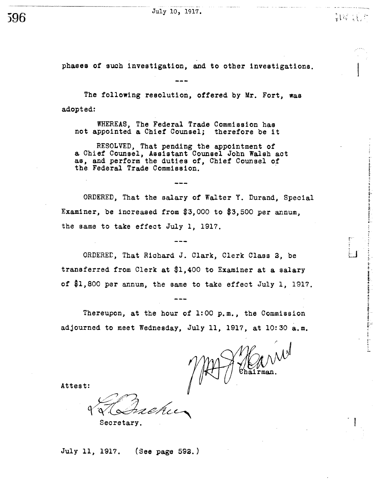July 10, 1917. ~~~~

596

 $\mathcal{X} \rightarrow \mathcal{X} \rightarrow \mathcal{X}$ 

- I

phases of such investigation, and to other investigations.

The following resolution, offered by Mr. Fort, was adopted:

WHEREAS, The Federal Trade Commission has not appointed a Chief Counsel; therefore be it

RESOLVED, That pending the appointment of a Chief Counsel, Assistant Counsel John Walsh act as, and perform the duties of, Chief Counsel of the Federal Trade Commission.

ORDERED, That the salary of Walter Y. Durand, Special Examiner, be increased from  $$3,000$  to  $$3,500$  per annum. the same to take effect July 1, 1917.

ORDERED, That Richard J. Clark, Clerk Class 2, be transferred from Clerk at \$1 400 to Examiner at a salary of \$1,800 per annum, the same to take effect July 1, 1917.

Thereupon, at the hour of  $1:00$  p.m., the Commission adjourned to meet Wednesday, July 11, 1917, at 10:30 a.m.

Attest:

Seoretary.

July 11, 1917. (See page 592.)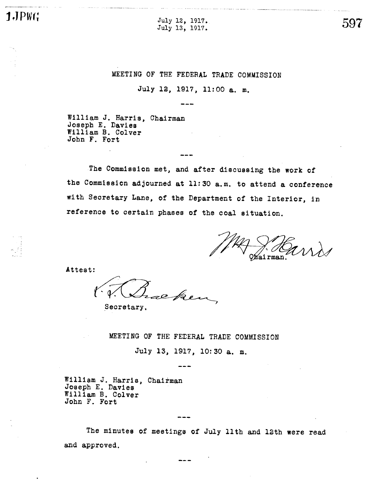$J.JPW(f)$   $July 12, 1917.$ 

,-.\_\_\_.n\_\_\_\_- --

 $J_{\text{uly 13, 1917.}}$   $597$ 

# MEETING OF THE FEDERAL TRADE COMMISSION

July 12, 1917, 11:00 a. m.

William J. Harris, Chairman Joseph E. Davies William B. Colver John F. Fort

The Commission met, and after discussing the work of the Commission adjourned at 11: 30 a. m. to attend a conference with Secretary Lane, of the Department of the Interior, in reference to certain phases of the coal situation.

Attest:

eken

Secretary.

MEETING OF THE FEDERAL TRADE COMMISSION

July 13, 1917, 10:30 a. m.

William J. Harris, Chairman Joseph E. Davies William B. Colver John F. Fort

The minutes of meetings of July 11th and 12th were read and approved.

u- --.--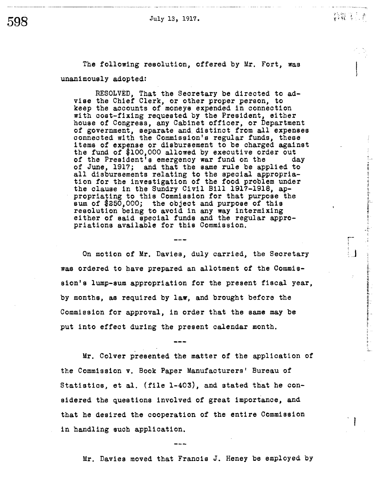July 13, 1917.

\_m - I ' . i  $\frac{1}{2}$  .  $\frac{1}{2}$  .  $\frac{1}{2}$ 

ままにある。 カラリエド・エンジニュー Air The Training Street Street Street Air Training Street Air Training Street Air Training

in an one of the construction of the construction of the state of the construction of the construction of the construction of the construction of the construction of the construction of the construction of the constructio

 $\overline{\phantom{a}}$ 

 $-$ 

\_n .-.- -0-

The following resolution, offered by Mr. Fort, was unanimously adopted:

RESOLVED, That the Secretary be directed to ad-<br>vise the Chief Clerk, or other proper person, to keep the accounts of moneys expended in connection with cost-fixing requested by the President, either house of Congress, any Cabinet officer, or Department of government, separate and distinct from all expenses connected with the Commission's regular funds, these items of expense or disbursement to be charged against the fund of \$100,000 allowed by executive order out of the President's emergency war fund on the day of the President's emergency war fund on the day<br>of June, 1917; and that the same rule be applied to all disbursements relating to the special appropriation for the investigation of the food problem under the clause in the Sundry Civil Bill 1917-1918, appropriating to this Commission for that purpose the sum of  $$250,000$ ; the object and purpose of this resolution being to avoid in any way intermixing<br>either of said special funds and the regular appropriations available for this Commission.

On motion of Mr. Davies, duly carried, the Secretary was ordered to have prepared an allotment of the Commission's lump-sum appropriation for the present fiscal year, by months, as required by law, and brought before the Commission for approval, in order that the same may be put into effeot during the present calendar month.

Mr. Colver presented the matter of the application of the Commission v. Book Paper Manufacturers' Bureau of Statistics, et al. (file  $1-403$ ), and stated that he considered the questions involved of great importance, and that he desired the cooperation of the entire Commission in handling such application.

Mr. Davies moved that Franois J. Heney be employed by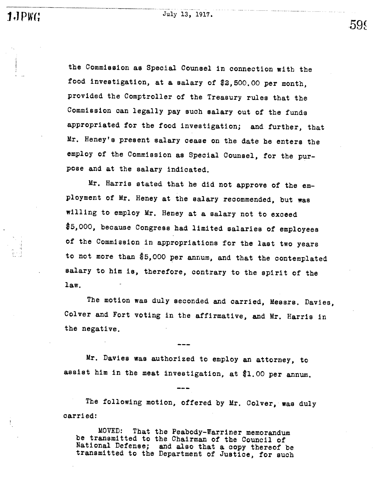i - ;

the Commission as Special Counsel in connection with the food investigation, at a salary of  $$3,500.00$  per month, provided the Comptroller of the Treasury rules that the Commission can legally pay such salary out of the funds appropriated for the food investigation; and further, that Mr. Heney's present salary cease on the date he enters the employ of the Commission as Special Counsel, for the purpose and at the salary indicated.

Mr. Harris stated that he did not approve of the employment of Mr. Heney at the salary recommended, but was willing to employ Mr. Heney at a salary not to exceed 000 , because Congress had limited salaries of employees of the Commission in appropriations for the last two years to not more than \$5,000 per annum, and that the contemplated salary to him is, therefore, contrary to the spirit of the law.

The motion was duly seconded and carried, Messrs. Davies, Colver and Fort voting in the affirmative, and Mr. Harris in the negative.

Mr. Davies was authorized to employ an attorney, to assist him in the meat investigation, at \$1. 00 per annum.

The following motion, offered by Mr. Colver, was duly carri ed:

MOVED: That the Peabody-Warriner memorandum be transmitted to the Chairman of the Council of National Defense; and also that a copy thereof be transmitted to the Department of Justice, for such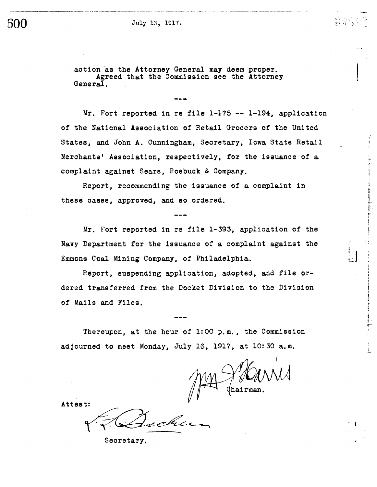## $600$  July 13, 1917.

..\_\_..\_n\_\_\_\_

action 'as the Attorney General may deem proper. Agreed that the Commission see the Attorney General.

Mr. Fort reported in re file 1-175 -- 1-194, application of the National Association of Retail Grocers of the United States, and John A. Cunningham, Secretary, Iowa State Retail Merchants' Association, respectively, for the issuance of a oomplaint against Sears , Roebuck & Company.

1.

i.-

 $\overline{\mathbf{z}}^-$ 

Report, recommending the issuance of a complaint in these cases, approved, and so ordered.

Mr. Fort reported in re file 1-393, application of the Navy Department for the issuance of a oomplaint against the Emmons Coal Mining Company, of Philadelphia.

Report, suspending application, adopted, and file ordered transferred from the Docket Division to the Division of Mails and Files.

Thereupon, at the hour of  $1:00$  p.m., the Commission adjourned to meet Monday, July 16, 1917, at 10:30 a.m.

Attest:

Seoretary.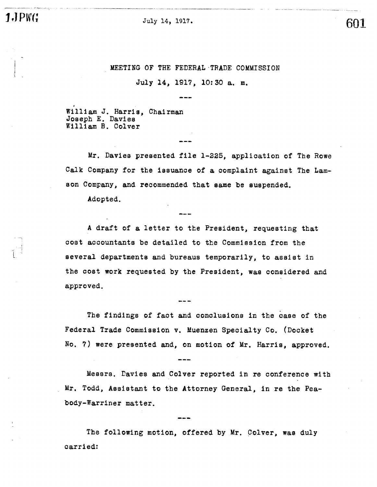**1.** July 14, 1917. **601** 

## MEETING OF THE FEDERAL TRADE COMMISSION

July 14, 1917, 10:30 a. m.

William J. Harris, Chairman Joseph E. Davies William B. Colver

Mr. Davies presented file 1-225, application of The Rowe Calk Company for the issuance of a complaint against The Lamson Company, and recommended that same be suspended.

Adopted.

A draft of a letter to the President, requesting that cost accountants be detailed to the Commission from the several departments and bureaus temporarily, to assist in the cost work requested by the President, was considered and approved.

The findings of fact and conolusions in the case of the Federal Trade Commission v. Muenzen Specialty Co. (Docket No. 7) were presented and, on motion of Mr. Harris, approved.

Messrs. Davies and Colver reported in re conference wi Mr. Todd, Assistant to the Attorney General, in re the Peabody-Warriner matter.

The following motion, offered by Mr. Colver, was duly carried:

.<br>........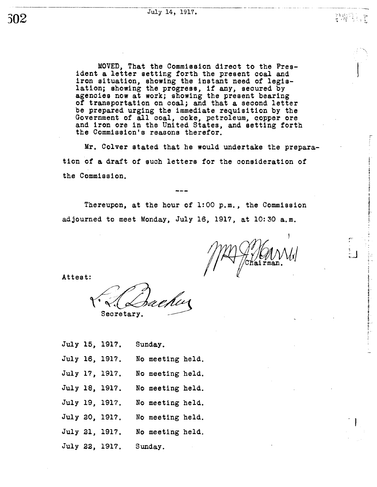302

MOVED, That the Commission direct to the President a letter setting forth the present coal and iron situation, showing the instant need of legislation; showing the progress, if any, secured by agencies now at work; showing the present bearing of transportation on ooal; and that a seoond letter be prepared urging the immediate requisition by the Government of all coal, coke, petroleum, copper ore and iron ore in the United States, and setting forth the Commission's reasons therefor.

Mr. Colver stated that he would undertake the preparation of a draft of such letters for the oonsideration of the Commission.

Thereupon, at the hour of 1:00 p.m., the Commission adjourned to meet Monday, July 16, 1917, at 10:30 a.m.

 $\mathcal{L}_{\mathcal{X}}$  .

, the  $\sim$ 

Attest:

Secretary.

|  | July 15, 1917. | Sunday.          |  |  |  |
|--|----------------|------------------|--|--|--|
|  | July 16, 1917. | No meeting held. |  |  |  |
|  | July 17, 1917. | No meeting held. |  |  |  |
|  | July 18, 1917. | No meeting held. |  |  |  |
|  | July 19, 1917. | No meeting held. |  |  |  |
|  | July 20, 1917. | No meeting held. |  |  |  |
|  | July 21, 1917. | No meeting held. |  |  |  |
|  | July 22, 1917. | Sunday.          |  |  |  |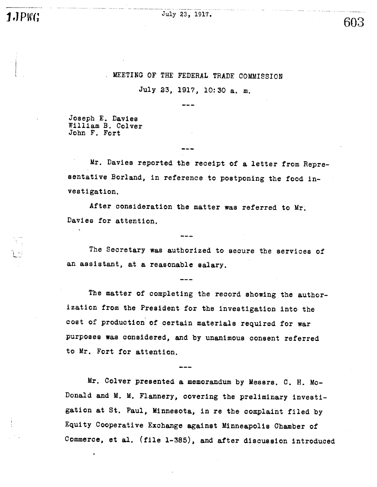$1.$  PW(;  $July 23, 1917.$ 

# 603

# , MEETING OF THE FEDERAL TRADE COMMISSION

July 23, 1917, 10:30 a. m.

Joseph E. Davies William B. Colver John F. Fort

\_\_\_n

Mr. Davies reported the receipt of a letter from Representative Borland, in reference to postponing the food investigation.

After consideration the matter was referred to Mr. Davies for attention.

The Secretary was authorized to secure the services of an assistant, at a reasonable salary.

The matter of completing the record showing the authorization from the President for the investigation into the cost of production of certain materials required for war purposes was considered, and by unanimous consent referred to Mr. Fort for attention.

Mr. Colver presented a memorandum by Messrs. C. H. Mc-Donald and M. M. Flannery, covering the preliminary investigation at St. Paul, Minnesota, in re the complaint filed by Equi ty Cooperative Exchange against Minneapolis Chamber of Commerce, et al. (file 1-385), and after discussion introduced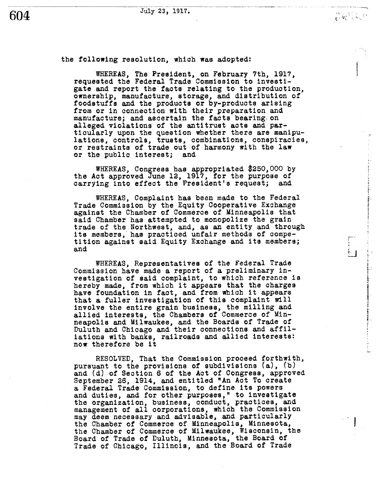the following resolution, which was adopted:

WHEREAS, The President, on February 7th, 1917 requested the Federal Trade Commission to investigate and report the facts relating to the production. ownership, manufacture, storage, and distribution of foodstuffs and the products or by-products arising from or in connection with their preparation and manufacture; and ascertain the facts bearing. on alleged violations of the anti trust acts and particularly upon the question whether there are manipu-<br>lations, controls, trusts, combinations, conspiracies, or restraints of trade out of harmony with the law or the public interest; and

WHEREAS, Congress has appropriated \$250,000 by the Act approved June 12, 1917, for the purpose of carrying into effect the President's request; and

WHEREAS, Complaint has been made to the Federal Trade Commission by the Equity Cooperative Exchange against the Chamber of Commerce of Minneapolis that said Chamber has attempted to monopolize the grain trade of the Northwest, and, as an entity and through its members, has practiced unfair methods of compe-<br>tition against said Equity Exchange and its members; and

WHEREAS, Representatives of the Federal Trade Commission have made a report of a preliminary investigation of said complaint, to which reference is hereby made, from which it appears that the charges have foundation in fact, and from which it appears that a fuller investigation of this complaint will involve the entire grain business, the milling and allied interests, the Chambers of Commerce of Minneapolis and Milwaukee, and the Boards of Trade of Duluth and Chicago and their conneotions and affiliations with banks, railroads and allied interests: now therefore be it

RESOLVED, That the Commission proceed forthwith, pursuant to the provisions of subdivisions  $(a)$ ,  $(b)$ and (d) of Section 6 of the Act of Congress, approved September 26, 1914, and entitled "An Act To create a Federal Trade Commission, to define its powers and duties, and for other purposes," to investigate the organization, business, conduct, practices, and management of all corporations, which the Commission may deem necessary and advisable, and particularly the Chamber of Commerce of Minneapolis, Minnesota, the Chamber of Commerce of Milwaukee, Wisconsin, the Board of Trade of Duluth, Minnesota, the Board of Trade of Chicago, Illinois, and the Board of Trade

 $\overline{\phantom{a}}$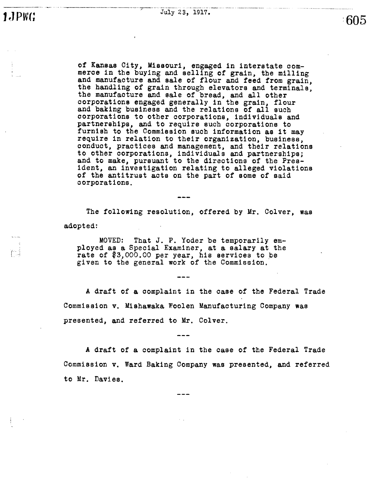f- :

. --\_on .

:605

of Kansas City, Missouri, engaged in interstate commerce in the buying and selling of grain, the milling and manufacture and sale of flour and feed from grain, the handling of grain through elevators and terminals the manufacture and sale of bread, and all other corporations engaged generally in the grain, flour and baking business and the relations of all such corporations to other corporations , individuals and partnerships , and to require such corporations to furnish to the Commission such information as it may require in relation to their organization, business, conduct, practices and management, and their relations to other corporations, individuals and partnerships; and to make, pursuant to the directions of the Pres-<br>ident, an investigation relating to alleged violations<br>of the antitrust acts on the part of some of said corporations.

The following resolution, offered by Mr. Colver, was adopted:

MOVED: That J. P. Yoder be temporarily employed as a Special Examiner, at a salary at the rate of \$3,000.00 per year, his services to be given to the general work of the Commission.

A draft of a complaint in the case of the Federal Trade Commission v. Mishawaka Woolen Manufacturing Company was presented, and referred to Mr. Colver.

A draft of a complaint in the case of the Federal Trade Commission v. Ward Baking Company was presented, and referred to Mr. Davies.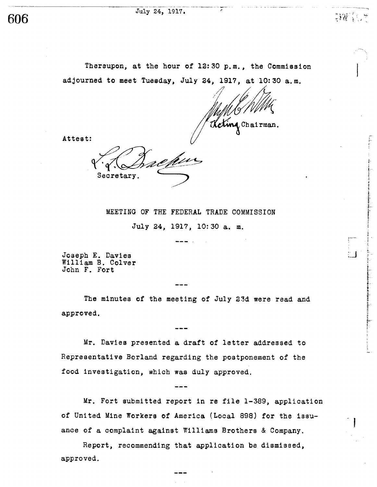#### July 24, 1917.

606

 $;W$ 

- J

Thereupon, at the hour of 12:30 p.m., the Commission adjourned to meet Tuesday, July 24, 1917, at 10:30 a.m.

Keting Chairman.

Attest:

Secretary.

MEETING OF THE FEDERAL TRADE COMMISSION July 24, 1917, 10:30 a. m.

Joseph E. Davies William B. Colver John F. Fort

The minutes of the meeting of July 23d were read and approved.

Mr. Davies presented a draft of letter addressed to Representative Borland regarding the postponement of the food investigation, which was duly approved.

Mr. Fort submitted report in re file 1- 389 , application of United Mine Workers of America (Local 898) for the issuance of a complaint against Williams Brothers & Company.

Report, recommending that application be dismissed, approved.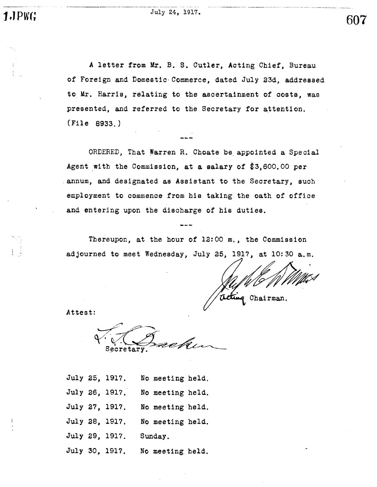July 24, 1917.

.\_n\_\_.\_

A letter from Mr. B. S. Cutler, Acting Chief, Bureau of Foreign and Domestic Commerce, dated July 23d, addressed to Mr. Harris, relating to the ascertainment of costs, was presented, and referred to the Secretary for attention. (File 8933.

ORDERED, That Warren R. Choate be appointed a Special Agent with the Commission, at a salary of  $$3,600.00$  per . annum, and designated as Assistant to the Secretary, such employment to commence from his taking the oath of office and entering upon the discharge of his duties.

Thereupon, at the hour of  $l2:00$  m., the Commission adjourned to meet Wednesday, July 25, 1917, at 10:30 a.m.

Chai rman.

Attest:

Secretary

- July 25, 1917. No meeting held.
- July 26, 1917. No meeting held.
- July 27, 1917. No meeting held.
- July 28, 1917. No meeting held.
- July 29, 1917. Sunday.
- July 30, 1917. No meeting held.

607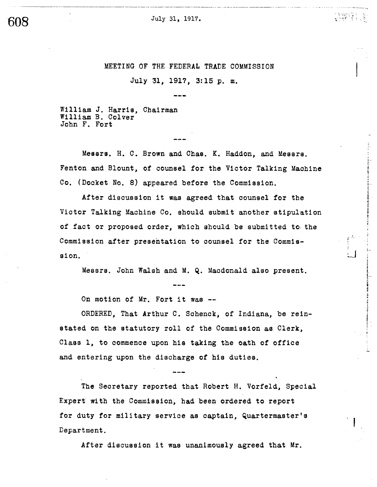July 31, 1917.

MEETING OF THE FEDERAL TRADE COMMISSION

'; : . t,

i .

 $\overline{\phantom{a}}$ 

July 31, 1917, 3:15 p. m.

William J. Harris, Chairman William B. Colver John F. Fort

Messrs. H. C. Brown and Chas. K. Haddon, and Messrs. Fenton and Blount, of counsel for the Victor Talking Machine Co. (Docket No. 8) appeared before the Commission.

After discussion it was agreed that counsel for the Victor Talking Machine Co. should submit another stipulation of fact or proposed order, which should be submitted to the Commission after presentation to counsel for the Commission.

Messrs. John Walsh and M. Q. Macdonald also present.

On motion of Mr. Fort it was --

ORDERED, That Arthur C. Schenck, of Indiana, be reinstated on the statutory roll of the Commission as Clerk, Class 1, to commence upon his taking the oath of office and entering upon the discharge of his duties.

The Secretary reported that Robert H. Vorfeld, Special Expert wi th the Commission, had been ordered to report for duty for military service as captain, Quartermaster's Department.

After discussion it was unanimously agreed that Mr.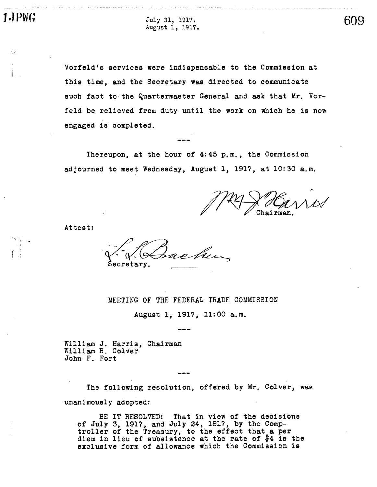un -

J PW(; July 31 , 1917. August 1 1917. 609

Vorfeld's services were indispensable to the Commission at this time, and the Secretary was directed to communicate such fact to the Quartermaster General and ask that Mr. Vorfeld be relieved from duty until the work on which he is now engaged is completed.

Thereupon, at the hour of  $4:45$  p.m., the Commission adjourned to meet Wednesday, August 1, 1917, at 10:30 a.m.

Attest:

Secretary.

MEETING OF THE FEDERAL TRADE COMMISSION

August 1, 1917, 11:00 a.m.

William J. Harris, Chairman William B. Colver John F. Fort

The following resolution, offered by Mr. Colver, was unanimously adopted:

BE IT RESOLVED: That in view of the decisions of July 3, 1917, and July 24, 1917, by the Comptroller of the Treasury, to the effect that a per diem in lieu of subsistence at the rate of \$4 is the exclusive form of allowance which the Commission is

\_n -